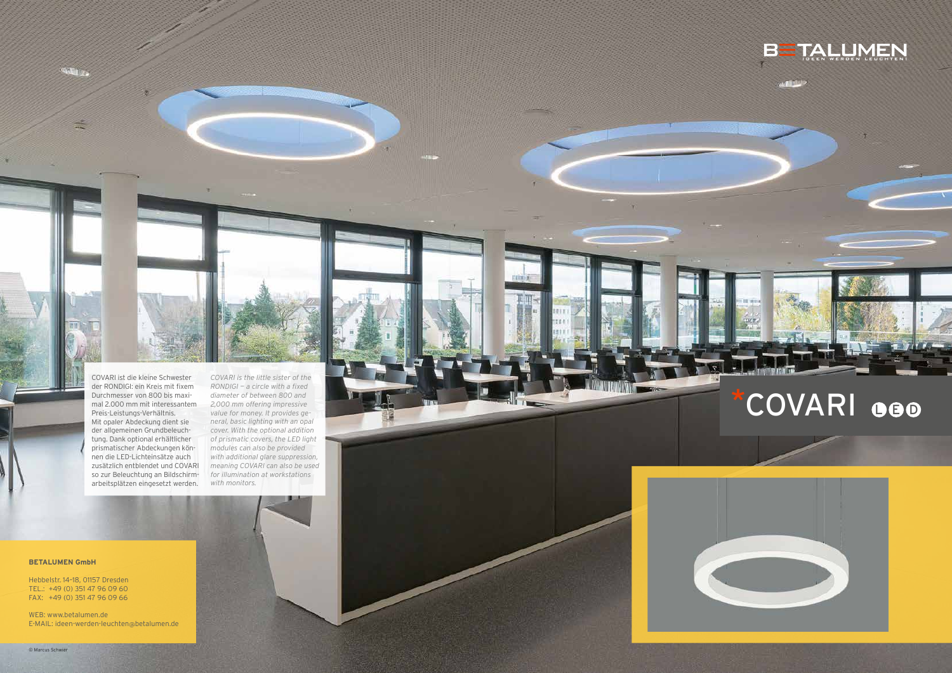**CALLES** 



COVARI ist die kleine Schwester der RONDIGI: ein Kreis mit fixem Durchmesser von 800 bis maxi mal 2.000 mm mit interessantem Preis-Leistungs-Verhältnis. Mit opaler Abdeckung dient sie der allgemeinen Grundbeleuch tung. Dank optional erhältlicher prismatischer Abdeckungen kön nen die LED-Lichteinsätze auch zusätzlich entblendet und COVARI so zur Beleuchtung an Bildschirm arbeitsplätzen eingesetzt werden. *COVARI is the little sister of the RONDIGI — a circle with a fixed diameter of between 800 and 2,000 mm offering impressive value for money. It provides ge neral, basic lighting with an opal cover. With the optional addition of prismatic covers, the LED light modules can also be provided with additional glare suppression, meaning COVARI can also be used for illumination at workstations with monitors.*



# \*COVARI OGO



#### **BETALUMEN GmbH**

Hebbelstr. 14–18, 01157 Dresden TEL.: +49 (0) 351 47 96 09 60 FAX: +49 (0) 351 47 96 09 66

WEB: www.betalumen.de E-MAIL: ideen-werden-leuchten @betalumen.de